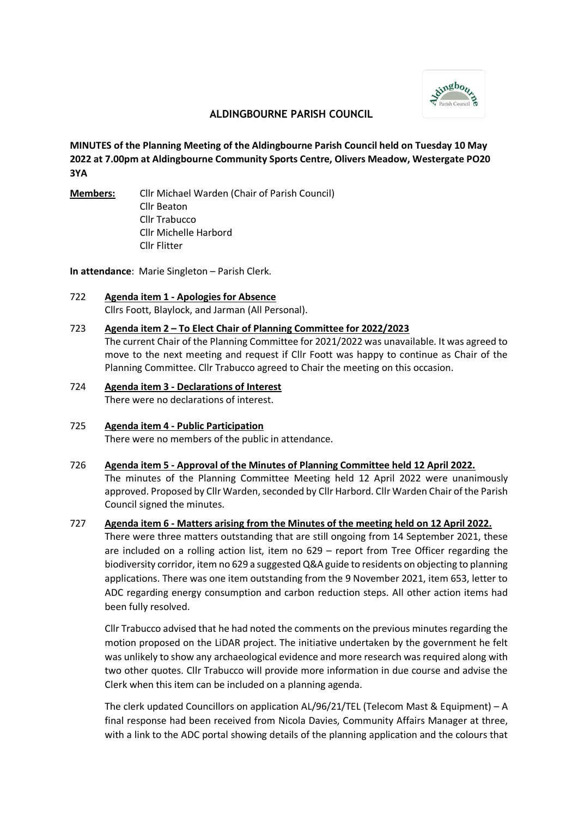

# **ALDINGBOURNE PARISH COUNCIL**

**MINUTES of the Planning Meeting of the Aldingbourne Parish Council held on Tuesday 10 May 2022 at 7.00pm at Aldingbourne Community Sports Centre, Olivers Meadow, Westergate PO20 3YA**

**Members:** Cllr Michael Warden (Chair of Parish Council) Cllr Beaton Cllr Trabucco Cllr Michelle Harbord Cllr Flitter

**In attendance**: Marie Singleton – Parish Clerk.

722 **Agenda item 1 - Apologies for Absence** Cllrs Foott, Blaylock, and Jarman (All Personal).

## 723 **Agenda item 2 – To Elect Chair of Planning Committee for 2022/2023**

The current Chair of the Planning Committee for 2021/2022 was unavailable. It was agreed to move to the next meeting and request if Cllr Foott was happy to continue as Chair of the Planning Committee. Cllr Trabucco agreed to Chair the meeting on this occasion.

724 **Agenda item 3 - Declarations of Interest** There were no declarations of interest.

Council signed the minutes.

- 725 **Agenda item 4 Public Participation** There were no members of the public in attendance.
- 726 **Agenda item 5 Approval of the Minutes of Planning Committee held 12 April 2022.**  The minutes of the Planning Committee Meeting held 12 April 2022 were unanimously approved. Proposed by Cllr Warden, seconded by Cllr Harbord. Cllr Warden Chair of the Parish

## 727 **Agenda item 6 - Matters arising from the Minutes of the meeting held on 12 April 2022.**

There were three matters outstanding that are still ongoing from 14 September 2021, these are included on a rolling action list, item no 629 – report from Tree Officer regarding the biodiversity corridor, item no 629 a suggested Q&A guide to residents on objecting to planning applications. There was one item outstanding from the 9 November 2021, item 653, letter to ADC regarding energy consumption and carbon reduction steps. All other action items had been fully resolved.

Cllr Trabucco advised that he had noted the comments on the previous minutes regarding the motion proposed on the LiDAR project. The initiative undertaken by the government he felt was unlikely to show any archaeological evidence and more research was required along with two other quotes. Cllr Trabucco will provide more information in due course and advise the Clerk when this item can be included on a planning agenda.

The clerk updated Councillors on application AL/96/21/TEL (Telecom Mast & Equipment) – A final response had been received from Nicola Davies, Community Affairs Manager at three, with a link to the ADC portal showing details of the planning application and the colours that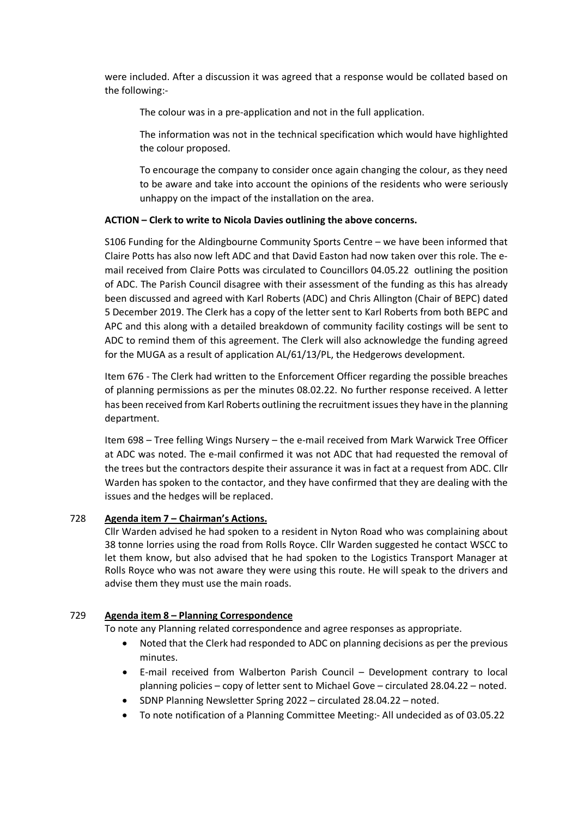were included. After a discussion it was agreed that a response would be collated based on the following:-

The colour was in a pre-application and not in the full application.

The information was not in the technical specification which would have highlighted the colour proposed.

To encourage the company to consider once again changing the colour, as they need to be aware and take into account the opinions of the residents who were seriously unhappy on the impact of the installation on the area.

## **ACTION – Clerk to write to Nicola Davies outlining the above concerns.**

S106 Funding for the Aldingbourne Community Sports Centre – we have been informed that Claire Potts has also now left ADC and that David Easton had now taken over this role. The email received from Claire Potts was circulated to Councillors 04.05.22 outlining the position of ADC. The Parish Council disagree with their assessment of the funding as this has already been discussed and agreed with Karl Roberts (ADC) and Chris Allington (Chair of BEPC) dated 5 December 2019. The Clerk has a copy of the letter sent to Karl Roberts from both BEPC and APC and this along with a detailed breakdown of community facility costings will be sent to ADC to remind them of this agreement. The Clerk will also acknowledge the funding agreed for the MUGA as a result of application AL/61/13/PL, the Hedgerows development.

Item 676 - The Clerk had written to the Enforcement Officer regarding the possible breaches of planning permissions as per the minutes 08.02.22. No further response received. A letter has been received from Karl Roberts outlining the recruitment issues they have in the planning department.

Item 698 – Tree felling Wings Nursery – the e-mail received from Mark Warwick Tree Officer at ADC was noted. The e-mail confirmed it was not ADC that had requested the removal of the trees but the contractors despite their assurance it was in fact at a request from ADC. Cllr Warden has spoken to the contactor, and they have confirmed that they are dealing with the issues and the hedges will be replaced.

## 728 **Agenda item 7 – Chairman's Actions.**

Cllr Warden advised he had spoken to a resident in Nyton Road who was complaining about 38 tonne lorries using the road from Rolls Royce. Cllr Warden suggested he contact WSCC to let them know, but also advised that he had spoken to the Logistics Transport Manager at Rolls Royce who was not aware they were using this route. He will speak to the drivers and advise them they must use the main roads.

## 729 **Agenda item 8 – Planning Correspondence**

To note any Planning related correspondence and agree responses as appropriate.

- Noted that the Clerk had responded to ADC on planning decisions as per the previous minutes.
- E-mail received from Walberton Parish Council Development contrary to local planning policies – copy of letter sent to Michael Gove – circulated 28.04.22 – noted.
- SDNP Planning Newsletter Spring 2022 circulated 28.04.22 noted.
- To note notification of a Planning Committee Meeting:- All undecided as of 03.05.22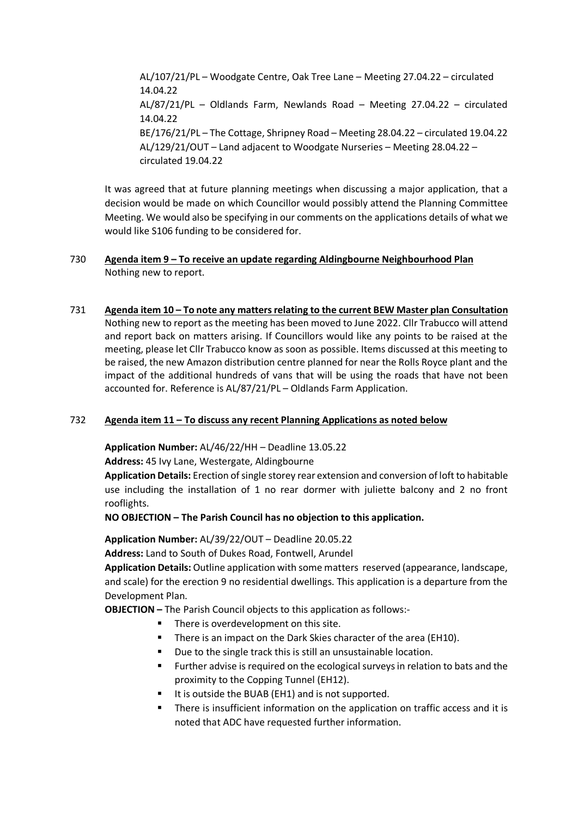AL/107/21/PL – Woodgate Centre, Oak Tree Lane – Meeting 27.04.22 – circulated 14.04.22 AL/87/21/PL – Oldlands Farm, Newlands Road – Meeting 27.04.22 – circulated 14.04.22 BE/176/21/PL – The Cottage, Shripney Road – Meeting 28.04.22 – circulated 19.04.22 AL/129/21/OUT – Land adjacent to Woodgate Nurseries – Meeting 28.04.22 – circulated 19.04.22

It was agreed that at future planning meetings when discussing a major application, that a decision would be made on which Councillor would possibly attend the Planning Committee Meeting. We would also be specifying in our comments on the applications details of what we would like S106 funding to be considered for.

## 730 **Agenda item 9 – To receive an update regarding Aldingbourne Neighbourhood Plan** Nothing new to report.

## 731 **Agenda item 10 – To note any matters relating to the current BEW Master plan Consultation**

Nothing new to report as the meeting has been moved to June 2022. Cllr Trabucco will attend and report back on matters arising. If Councillors would like any points to be raised at the meeting, please let Cllr Trabucco know as soon as possible. Items discussed at this meeting to be raised, the new Amazon distribution centre planned for near the Rolls Royce plant and the impact of the additional hundreds of vans that will be using the roads that have not been accounted for. Reference is AL/87/21/PL – Oldlands Farm Application.

## 732 **Agenda item 11 – To discuss any recent Planning Applications as noted below**

**Application Number:** AL/46/22/HH – Deadline 13.05.22

**Address:** 45 Ivy Lane, Westergate, Aldingbourne

**Application Details:** Erection of single storey rear extension and conversion of loft to habitable use including the installation of 1 no rear dormer with juliette balcony and 2 no front rooflights.

**NO OBJECTION – The Parish Council has no objection to this application.** 

**Application Number:** AL/39/22/OUT – Deadline 20.05.22

**Address:** Land to South of Dukes Road, Fontwell, Arundel

**Application Details:** Outline application with some matters reserved (appearance, landscape, and scale) for the erection 9 no residential dwellings. This application is a departure from the Development Plan.

**OBJECTION –** The Parish Council objects to this application as follows:-

- There is overdevelopment on this site.
- **There is an impact on the Dark Skies character of the area (EH10).**
- Due to the single track this is still an unsustainable location.
- Further advise is required on the ecological surveys in relation to bats and the proximity to the Copping Tunnel (EH12).
- It is outside the BUAB (EH1) and is not supported.
- There is insufficient information on the application on traffic access and it is noted that ADC have requested further information.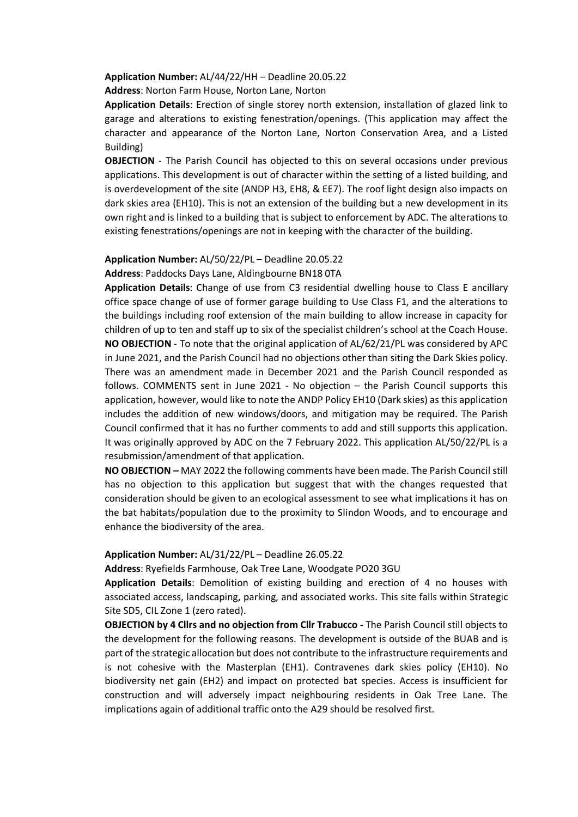#### **Application Number:** AL/44/22/HH – Deadline 20.05.22

**Address**: Norton Farm House, Norton Lane, Norton

**Application Details**: Erection of single storey north extension, installation of glazed link to garage and alterations to existing fenestration/openings. (This application may affect the character and appearance of the Norton Lane, Norton Conservation Area, and a Listed Building)

**OBJECTION** - The Parish Council has objected to this on several occasions under previous applications. This development is out of character within the setting of a listed building, and is overdevelopment of the site (ANDP H3, EH8, & EE7). The roof light design also impacts on dark skies area (EH10). This is not an extension of the building but a new development in its own right and is linked to a building that is subject to enforcement by ADC. The alterations to existing fenestrations/openings are not in keeping with the character of the building.

### **Application Number:** AL/50/22/PL – Deadline 20.05.22

**Address**: Paddocks Days Lane, Aldingbourne BN18 0TA

**Application Details**: Change of use from C3 residential dwelling house to Class E ancillary office space change of use of former garage building to Use Class F1, and the alterations to the buildings including roof extension of the main building to allow increase in capacity for children of up to ten and staff up to six of the specialist children's school at the Coach House. **NO OBJECTION** - To note that the original application of AL/62/21/PL was considered by APC in June 2021, and the Parish Council had no objections other than siting the Dark Skies policy. There was an amendment made in December 2021 and the Parish Council responded as follows. COMMENTS sent in June 2021 - No objection – the Parish Council supports this application, however, would like to note the ANDP Policy EH10 (Dark skies) as this application includes the addition of new windows/doors, and mitigation may be required. The Parish Council confirmed that it has no further comments to add and still supports this application. It was originally approved by ADC on the 7 February 2022. This application AL/50/22/PL is a resubmission/amendment of that application.

**NO OBJECTION –** MAY 2022 the following comments have been made. The Parish Council still has no objection to this application but suggest that with the changes requested that consideration should be given to an ecological assessment to see what implications it has on the bat habitats/population due to the proximity to Slindon Woods, and to encourage and enhance the biodiversity of the area.

#### **Application Number:** AL/31/22/PL – Deadline 26.05.22

**Address**: Ryefields Farmhouse, Oak Tree Lane, Woodgate PO20 3GU

**Application Details**: Demolition of existing building and erection of 4 no houses with associated access, landscaping, parking, and associated works. This site falls within Strategic Site SD5, CIL Zone 1 (zero rated).

**OBJECTION by 4 Cllrs and no objection from Cllr Trabucco -** The Parish Council still objects to the development for the following reasons. The development is outside of the BUAB and is part of the strategic allocation but does not contribute to the infrastructure requirements and is not cohesive with the Masterplan (EH1). Contravenes dark skies policy (EH10). No biodiversity net gain (EH2) and impact on protected bat species. Access is insufficient for construction and will adversely impact neighbouring residents in Oak Tree Lane. The implications again of additional traffic onto the A29 should be resolved first.